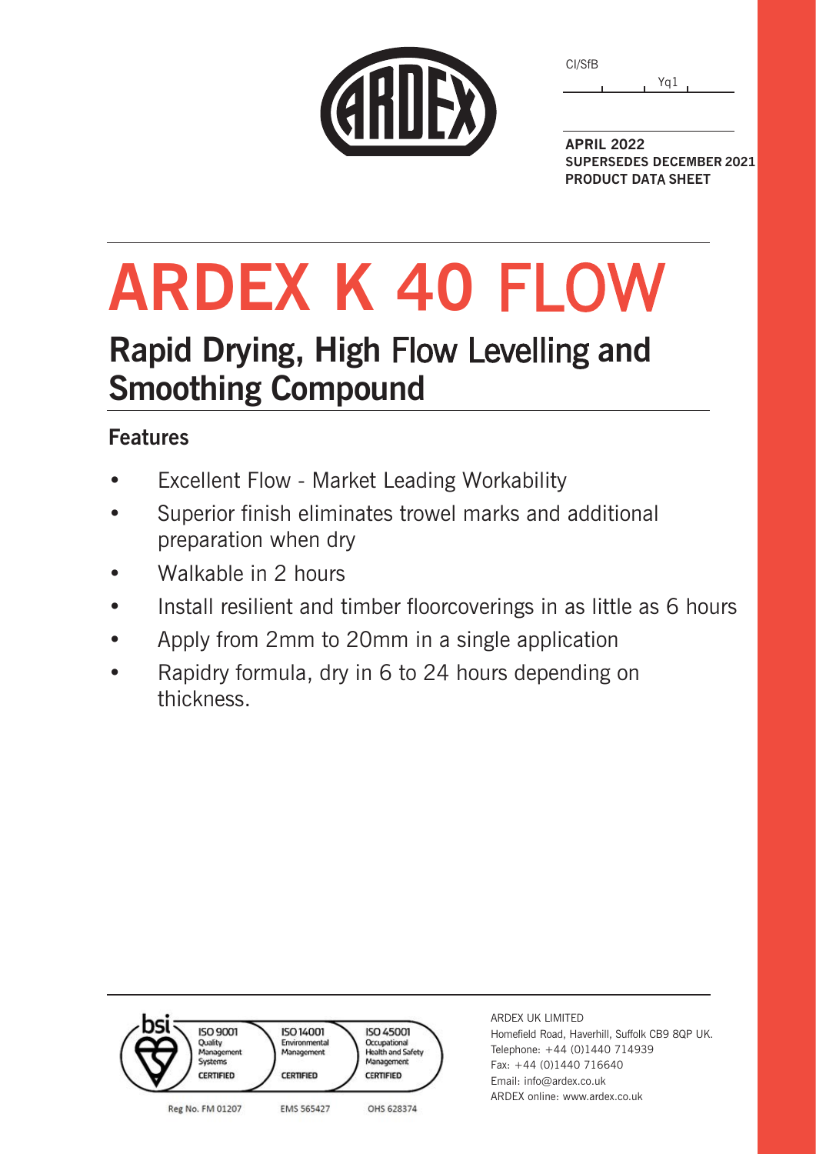| CI/SfB |     |
|--------|-----|
|        | Yq1 |



**APRIL 2022 SUPERSEDES DECEMBER 2021 PRODUCT DAT**A **SHEET**

**ARDEX K 40** FLOW

# **Rapid Drying, High** Flow Levelling **and Smoothing Compound**

## **Features**

- Excellent Flow Market Leading Workability
- Superior finish eliminates trowel marks and additional preparation when dry
- Walkable in 2 hours
- Install resilient and timber floorcoverings in as little as 6 hours
- Apply from 2mm to 20mm in a single application
- Rapidry formula, dry in 6 to 24 hours depending on thickness.



ARDEX UK LIMITED Homefield Road, Haverhill, Suffolk CB9 8QP UK. Telephone: +44 (0)1440 714939 Fax: +44 (0)1440 716640 Email: info@ardex.co.uk ARDEX online: www.ardex.co.uk